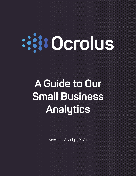# **A Guide to Our Small Business Analytics**

**JSON ATTRIBUTE DEFINITION** *Available for objects***:**

**ANALYTICS**

**Glossary of Terms**

**BOOK BANK** 

**ACCOUNT PERIOD**

**OCROLUS TERM**

Version 4.3–July 1, 2021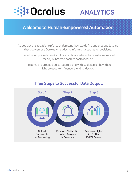

### **ANALYTICS**

#### **Welcome to Human-Empowered Automation**

As you get started, it's helpful to understand how we define and present data, so that you can use Ocrolus Analytics to inform smarter, faster decisions.

The following guide details Ocrolus analytical metrics that can be requested for any submitted book or bank account.

The items are grouped by category, along with guidance on how they might be used to influence a lending decision.



#### **Three Steps to Successful Data Output:**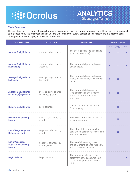### :: { Ocrolus

#### **Cash Balances**

This set of analytics describes the cash balances in a customer's bank accounts. Metrics are available at points in time as well as in trended form. This information can be used to understand the liquidity position of an applicant and evaluate the cash buffer present in order to pay expenses or service debt.

**ANALYTICS**

**Glossary of Terms**

| <b>OCROLUS TERM</b>                                                   | <b>JSON ATTRIBUTE</b>                      | <b>DEFINITION</b>                                                                                             |                            | Available for objects:                        |                    |
|-----------------------------------------------------------------------|--------------------------------------------|---------------------------------------------------------------------------------------------------------------|----------------------------|-----------------------------------------------|--------------------|
| <b>Average Daily Balance</b>                                          | average_daily_balance                      | The average daily ending balance<br>(including weekends).                                                     | <b>BOOK</b><br>$\mathbf x$ | <b>BANK</b><br><b>ACCOUNT</b><br>$\mathbf{x}$ | <b>PERIOD</b><br>X |
| <b>Average Daily Balance</b><br>(Weekdays)                            | average_daily_balance_<br>weekday          | The average daily ending balance<br>of weekdays.                                                              | $\mathbf x$                | $\mathbf{x}$                                  | X                  |
| <b>Average Daily Balance</b><br>by Month                              | average_daily_balance_<br>by_month         | The average daily ending balance<br>(including weekends) in a calendar<br>month.                              | $\mathbf x$                | $\mathbf{x}$                                  |                    |
| <b>Average Daily Balance</b><br>(Weekdays) by Month                   | average_daily_balance_<br>weekday_by_month | The average daily balance of<br>weekdays in a calendar month<br>(measured at the end of each<br>weekday).     | $\mathbf x$                | $\mathbf{x}$                                  |                    |
| <b>Running Daily Balance</b>                                          | daily_balances                             | A list of the daily ending balances<br>for every day.                                                         |                            | $\mathbf{x}$                                  |                    |
| <b>Minimum Balance by</b><br><b>Month</b>                             | minimum_balance_by_<br>month               | The lowest end-of-day balance in<br>a calendar month.                                                         |                            | $\mathbf x$                                   |                    |
| <b>List of Days Negative</b><br><b>Balance by Month</b>               | negative_balances_by_<br>month             | The list of all days in which the<br>daily ending balance fell below zero<br>in a calendar month.             |                            | $\mathbf{x}$                                  |                    |
| <b>List of Weekdays</b><br><b>Negative Balance by</b><br><b>Month</b> | negative_balances_by_<br>month_weekday     | The list of all weekdays in which<br>the daily ending balance fell below<br>zero in a calendar month.         |                            | $\mathbf{x}$                                  |                    |
| <b>Begin Balance</b>                                                  | begin_balance                              | The beginning balance of the<br>statement period captured from<br>the summary section of a bank<br>statement. |                            |                                               | <b>X</b>           |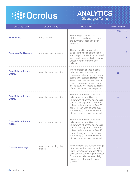| <b>OCROLUS TERM</b>                   | <b>JSON ATTRIBUTE</b>          | <b>DEFINITION</b>                                                                                                                                                                                                                                                                           |             | Available for objects:        |                              |
|---------------------------------------|--------------------------------|---------------------------------------------------------------------------------------------------------------------------------------------------------------------------------------------------------------------------------------------------------------------------------------------|-------------|-------------------------------|------------------------------|
| <b>End Balance</b>                    | end_balance                    | The ending balance of the<br>statement period captured from<br>the summary section of a bank<br>statement.                                                                                                                                                                                  | <b>BOOK</b> | <b>BANK</b><br><b>ACCOUNT</b> | <b>PERIOD</b><br>$\mathbf x$ |
| <b>Calculated End Balance</b>         | calculated_end_balance         | The balance Ocrolus calculates<br>by taking the begin balance and<br>summing all transactions captured<br>in a period. Note: field will be blank<br>unless it varies from the end<br>balance.                                                                                               |             |                               | $\mathbf x$                  |
| <b>Cash Balance Trend -</b><br>30 Day | cash_balance_trend_30d         | The normalized change in cash<br>balances over time. Used to<br>understand whether a business is<br>adding to or depleting its reserves.<br>(Mean cash balance over first 15)<br>days) - (Mean cash balance over<br>last 15 days)) / standard deviation<br>of cash balances over the period |             | $\mathbf{x}$                  |                              |
| <b>Cash Balance Trend -</b><br>60 Day | cash_balance_trend_60d         | The normalized change in cash<br>balances over time. Used to<br>understand whether a business is<br>adding to or depleting its reserves.<br>(Mean cash balance over first 30<br>days) - (Mean cash balance over<br>last 30 days)) / standard deviation<br>of cash balances over the period  |             | $\mathbf{x}$                  |                              |
| <b>Cash Balance Trend -</b><br>90 Day | cash_balance_trend_90d         | The normalized change in cash<br>balances over time. Used to<br>understand whether a business is<br>adding to or depleting its reserves.<br>(Mean cash balance over first 45<br>days) - (Mean cash balance over<br>last 45 days)) / standard deviation<br>of cash balances over the period. |             | $\mathbf x$                   |                              |
| <b>Cash Expense Days</b>              | cash_expense_days_by_<br>month | An estimate of the number of days<br>of expenses that could be paid<br>using today's cash balance. Mean<br>daily cash balance daily for the last<br>full month available / mean daily<br>expenses for the last full month<br>available.                                                     |             | $\mathbf{x}$                  |                              |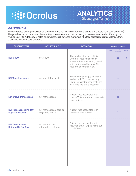#### **ANALYTICS Glossary of Terms**

#### **Overdrafts/NSF**

These analytics identify the existence of overdraft and non-sufficient-funds transactions in a customer's bank account(s). They can be used to understand the reliability of a customer and their tendency to become overextended. Knowing the frequency of NSF/OD behavior helps lenders distinguish between customers who face episodic liquidity challenges from those who are chronically unreliable.

| <b>OCROLUS TERM</b>                                        | <b>JSON ATTRIBUTE</b>                         | <b>DEFINITION</b>                                                                                                                                                 |             | Available for objects:                        |                    |
|------------------------------------------------------------|-----------------------------------------------|-------------------------------------------------------------------------------------------------------------------------------------------------------------------|-------------|-----------------------------------------------|--------------------|
| <b>NSF Count</b>                                           | nsf_count                                     | The number of unique NSF &<br>Overdraft fees for each bank<br>account. This is especially useful<br>with institutions that lump NSF<br>fees into one transaction. | <b>BOOK</b> | <b>BANK</b><br><b>ACCOUNT</b><br>$\mathbf{x}$ | <b>PERIOD</b><br>x |
| <b>NSF Count by Month</b>                                  | nsf_count_by_month                            | The number of unique NSF fees<br>each month. This is especially<br>useful with institutions that lump<br>NSF fees into one transaction.                           |             | $\mathbf x$                                   |                    |
| <b>List of NSF Transactions</b>                            | nsf_transactions                              | A list of fees associated with<br>non-sufficient funds and overdraft<br>transactions.                                                                             |             | $\mathbf x$                                   |                    |
| <b>NSF Transactions Paid Or</b><br><b>Negative Balance</b> | nsf_transactions_paid_or_<br>negative_balance | A list of fees associated with<br>overdraft transactions.                                                                                                         |             | $\mathbf{x}$                                  |                    |
| <b>NSF Transactions</b><br><b>Returned Or Not Paid</b>     | nsf_transactions_<br>returned_or_not_paid     | A list of fees associated with<br>returned and/or unpaid items due<br>to NSF fees.                                                                                |             | $\mathbf x$                                   |                    |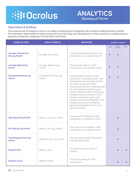#### **ANALYTICS Glossary of Terms**

#### **Cash Inflows & Outflows**

This extensive set of analytics is built on our ability to enhance each transaction with numerous additional points of detail. The information allows lenders to build a precise picture of the daily cash flow dynamics of their customers, including revenue, expenses, transaction categories, financial ratios, and trends.

| <b>OCROLUS TERM</b>                                | <b>JSON ATTRIBUTE</b>          | <b>DEFINITION</b>                                                                                                                                                                                                                                                                                                                                                                                                                                                            |             | Available for objects:        |               |
|----------------------------------------------------|--------------------------------|------------------------------------------------------------------------------------------------------------------------------------------------------------------------------------------------------------------------------------------------------------------------------------------------------------------------------------------------------------------------------------------------------------------------------------------------------------------------------|-------------|-------------------------------|---------------|
|                                                    |                                |                                                                                                                                                                                                                                                                                                                                                                                                                                                                              | <b>BOOK</b> | <b>BANK</b><br><b>ACCOUNT</b> | <b>PERIOD</b> |
| <b>Average Transaction</b><br><b>Size by Month</b> | average_by_month               | The average absolute value of all<br>transactions in a calendar month.                                                                                                                                                                                                                                                                                                                                                                                                       | $\mathbf x$ | $\mathbf{x}$                  |               |
| <b>Average Deposit by</b><br><b>Month</b>          | average_deposit_by_<br>month   | The average value of credit<br>transactions in a calendar month.                                                                                                                                                                                                                                                                                                                                                                                                             | $\mathbf x$ | $\mathbf x$                   |               |
| <b>Estimated Revenue by</b><br>Month               | estimated_revenue_by_<br>month | The estimated revenue of the<br>business in a calendar month. This<br>is calculated by summing together<br>all credit transactions, then<br>removing all transfer credits (except<br>for wire transfers), all alternative<br>lender credits (except for factoring<br>credits), and all transactions that<br>contain words that signify that<br>they are not revenue deposits. This<br>includes words such as Refund,<br>Reversal, Cash Back, Return, and<br>about 20 others. | $\mathbf x$ | $\mathbf x$                   |               |
| <b>Max Deposit by Month</b>                        | deposit_max_by_month           | The value of the largest credit<br>transaction in a calendar month.                                                                                                                                                                                                                                                                                                                                                                                                          |             | $\mathbf x$                   |               |
| <b>Min Deposit by Month</b>                        | deposit_min_by_month           | The value of the smallest credit<br>transaction in a calendar month.                                                                                                                                                                                                                                                                                                                                                                                                         |             | $\mathbf x$                   |               |
| <b>Total Deposits Sum by</b><br><b>Month</b>       | deposits_sum_by_month          | The sum of all credit transactions<br>in a calendar month.                                                                                                                                                                                                                                                                                                                                                                                                                   |             | $\mathbf x$                   |               |
| <b>Deposit Sum</b>                                 | deposit_sum                    | The total monetary value of<br>credits.                                                                                                                                                                                                                                                                                                                                                                                                                                      |             | $\mathbf{x}$                  | X             |
| <b>Deposit Count</b>                               | deposit_count                  | The total number of credit<br>transactions.                                                                                                                                                                                                                                                                                                                                                                                                                                  |             | <b>X</b>                      | <b>X</b>      |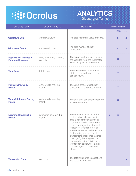| <b>OCROLUS TERM</b>                                         | <b>JSON ATTRIBUTE</b>               | <b>DEFINITION</b>                                                                                                                                                                                                                                                                                                                                                                                                                                                               |             | <b>Available for objects:</b> |               |
|-------------------------------------------------------------|-------------------------------------|---------------------------------------------------------------------------------------------------------------------------------------------------------------------------------------------------------------------------------------------------------------------------------------------------------------------------------------------------------------------------------------------------------------------------------------------------------------------------------|-------------|-------------------------------|---------------|
|                                                             |                                     |                                                                                                                                                                                                                                                                                                                                                                                                                                                                                 | <b>BOOK</b> | <b>BANK</b><br><b>ACCOUNT</b> | <b>PERIOD</b> |
| <b>Withdrawal Sum</b>                                       | withdrawal_sum                      | The total monetary value of debits.                                                                                                                                                                                                                                                                                                                                                                                                                                             |             | $\mathbf x$                   | $\mathbf x$   |
| <b>Withdrawal Count</b>                                     | withdrawal count                    | The total number of debit<br>transactions.                                                                                                                                                                                                                                                                                                                                                                                                                                      |             | $\mathbf{x}$                  | $\mathbf x$   |
| <b>Deposits Not Included in</b><br><b>Estimated Revenue</b> | non_estimated_revenue_<br>txns_list | The list of credit transactions that<br>are excluded from the "Estimated<br>Revenue by Month" calculation.                                                                                                                                                                                                                                                                                                                                                                      |             | $\mathbf x$                   |               |
| <b>Total Days</b>                                           | total_days                          | The total number of days in all<br>statement periods captured in the<br>bank account.                                                                                                                                                                                                                                                                                                                                                                                           |             | $\mathbf x$                   |               |
| <b>Max Withdrawals by</b><br>Month                          | withdrawals_max_by_<br>month        | The value of the largest debit<br>transaction in a calendar month.                                                                                                                                                                                                                                                                                                                                                                                                              |             | $\mathbf x$                   |               |
| <b>Total Withdrawals Sum by</b><br>Month                    | withdrawals_sum_by_<br>month        | The sum of all debit transactions in<br>a calendar month.                                                                                                                                                                                                                                                                                                                                                                                                                       |             | $\mathbf x$                   |               |
| <b>Estimated Revenue by</b><br>Month                        | estimated_revenue_by_<br>month      | The estimated revenue of the<br>business in a calendar month.<br>This is calculated by summing<br>together all credit transactions,<br>then removing all transfer credits<br>(except for wire transfers), all<br>alternative lender credits (except<br>for factoring credits), and all<br>transactions that contain words<br>that signify that they are not<br>revenue deposits. This includes<br>words such as Refund, Reversal,<br>Cash Back, Return, and about 20<br>others. | $\mathbf x$ | $\mathbf x$                   |               |
| <b>Transaction Count</b>                                    | txn_count                           | The total number of transactions<br>in a statement period.                                                                                                                                                                                                                                                                                                                                                                                                                      |             | $\mathbf x$                   | X             |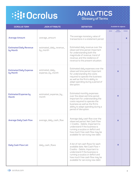| <b>OCROLUS TERM</b>                        | <b>JSON ATTRIBUTE</b>                | <b>DEFINITION</b>                                                                                                                                                                                                                                  |             | Available for objects:        |               |
|--------------------------------------------|--------------------------------------|----------------------------------------------------------------------------------------------------------------------------------------------------------------------------------------------------------------------------------------------------|-------------|-------------------------------|---------------|
|                                            |                                      |                                                                                                                                                                                                                                                    | <b>BOOK</b> | <b>BANK</b><br><b>ACCOUNT</b> | <b>PERIOD</b> |
| <b>Average Amount</b>                      | average_amount                       | The average monetary value of<br>transactions in a statement period.                                                                                                                                                                               |             |                               | $\mathbf x$   |
| <b>Estimated Daily Revenue</b><br>by Month | estimated_daily_revenue_<br>by_month | Estimated daily revenue over the<br>observed time period. Important<br>for understanding both the<br>magnitude of revenue, trend of<br>revenue, and the resilience of<br>revenue to the present situation.                                         |             | $\mathbf{x}$                  |               |
| <b>Estimated Daily Expense</b><br>by Month | estimated_daily_<br>expense_by_month | Estimated daily expenses over the<br>observed time period. Important<br>for understanding the costs<br>required to operate the business<br>as well as the firm's ability to<br>adapt spending during a period of<br>disruption.                    |             | $\mathbf x$                   |               |
| <b>Estimated Expense by</b><br>Month       | estimated_expense_by_<br>month       | Estimated monthly expenses<br>over the observed time period.<br>Important for understanding the<br>costs required to operate the<br>business as well as the firm's<br>ability to adapt spending during a<br>period of disruption.                  |             | $\mathbf{x}$                  |               |
| <b>Average Daily Cash Flow</b>             | average_daily_cash_flow              | Average daily cash flow over the<br>observed period. Net Cash Flow<br>= Credits - Debits. Important to<br>understand if the business is<br>running a surplus or deficit and<br>how much free cash flow may be<br>available for servicing new debt. |             | $\mathbf x$                   |               |
| <b>Daily Cash Flow List</b>                | daily_cash_flows                     | A list of net cash flows for each<br>available date. Net Cash Flow =<br>Credits - Debits. Important to<br>understand if the business is<br>running a surplus or deficit and<br>how much free cash flow may be<br>available for servicing new debt. |             | $\mathbf{x}$                  |               |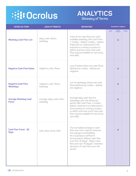| <b>OCROLUS TERM</b>                          | <b>JSON ATTRIBUTE</b>               | <b>DEFINITION</b>                                                                                                                                                                                                                                                                       |             | Available for objects:                        |               |
|----------------------------------------------|-------------------------------------|-----------------------------------------------------------------------------------------------------------------------------------------------------------------------------------------------------------------------------------------------------------------------------------------|-------------|-----------------------------------------------|---------------|
| <b>Weekday Cash Flow List</b>                | daily_cash_flows_<br>weekday        | A list of net cash flows for each<br>available weekday. Net Cash Flow<br>= Credits - Debits. Credits - Debits.<br>Important to understand if the<br>business is running a surplus or<br>deficit and how much free cash<br>flow may be available for servicing<br>new deht.              | <b>BOOK</b> | <b>BANK</b><br><b>ACCOUNT</b><br>$\mathbf{x}$ | <b>PERIOD</b> |
| <b>Negative Cash Flow Dates</b>              | negative_cash_flows                 | List of dates where net cash flows<br>(defined as credits - debits) are<br>negative.                                                                                                                                                                                                    |             | $\mathbf x$                                   |               |
| <b>Negative Cash Flow</b><br><b>Weekdays</b> | negative_cash_flows_<br>weekday     | List of weekdays where net cash<br>flows (defined as credits - debits)<br>are negative.                                                                                                                                                                                                 |             | $\mathbf x$                                   |               |
| <b>Average Weekday Cash</b><br><b>Flows</b>  | average_daily_cash_flow_<br>weekday | Average daily cash flow for<br>weekdays over the observed<br>period. Net Cash Flow = Credits -<br>Debits. Important to understand if<br>the business is running a surplus<br>or deficit and how much free cash<br>flow may be available for servicing<br>new debt.                      |             | $\mathbf x$                                   |               |
| <b>Cash Flow Trend - 30</b><br><b>Days</b>   | cash_flow_trend_30d                 | The normalized change in cash<br>flow over time. Used to measure<br>the change in profitability<br>for a business in different<br>environments. (Mean cash flow<br>over first 15 days) - (Mean cash<br>flow over last 15 days)) / standard<br>deviation of cash flow over the<br>period |             | $\mathbf x$                                   |               |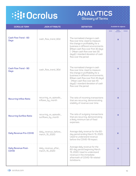| <b>OCROLUS TERM</b>                        | <b>JSON ATTRIBUTE</b>                       | <b>DEFINITION</b>                                                                                                                                                                                                                                                                     |             | Available for objects:        |               |
|--------------------------------------------|---------------------------------------------|---------------------------------------------------------------------------------------------------------------------------------------------------------------------------------------------------------------------------------------------------------------------------------------|-------------|-------------------------------|---------------|
|                                            |                                             |                                                                                                                                                                                                                                                                                       | <b>BOOK</b> | <b>BANK</b><br><b>ACCOUNT</b> | <b>PERIOD</b> |
| <b>Cash Flow Trend - 60</b><br><b>Days</b> | cash_flow_trend_60d                         | The normalized change in cash<br>flow over time. Used to measure<br>the change in profitability for a<br>business in different environments.<br>(Mean cash flow over first 30 days<br>) - (Mean cash flow over last 30<br>days)) / standard deviation of cash<br>flow over the period |             | $\mathbf x$                   |               |
| <b>Cash Flow Trend - 90</b><br><b>Days</b> | cash_flow_trend_90d                         | The normalized change in cash<br>flow over time. Used to measure<br>the change in profitability for a<br>business in different environments.<br>(Mean cash flow over first 45 days)<br>- (Mean cash flow over last 45<br>days)) / standard deviation of cash<br>flow over the period  |             | X                             |               |
| <b>Recurring Inflow Ratio</b>              | recurring_vs_episodic_<br>inflows_by_month  | The ratio of incoming transactions<br>that are recurring, demonstrating<br>stability of revenue over time.                                                                                                                                                                            |             | $\mathbf x$                   |               |
| <b>Recurring Outflow Ratio</b>             | recurring_vs_episodic_<br>outflows_by_month | The ratio of outgoing transactions<br>that are recurring, demonstrating<br>a likely minimum set of fixed<br>expenses.                                                                                                                                                                 |             | X                             |               |
| <b>Daily Revenue Pre-COVID</b>             | daily_revenue_before_<br>march_15_2020      | Average daily revenue for the 60-<br>day period ending March 15, 2020.<br>Used to understand revenue<br>before the COVID-19 impact.                                                                                                                                                   |             | $\mathbf{x}$                  |               |
| <b>Daily Revenue Post-</b><br><b>COVID</b> | daily_revenue_after_<br>march_15_2020       | Average daily revenue for the<br>60-day period beginning March<br>15, 2020. Used to understand<br>revenue in the immediate<br>aftermath of COVID-19-related<br>lockdowns.                                                                                                             |             | $\mathbf{x}$                  |               |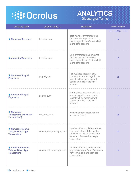| <b>OCROLUS TERM</b>                                                                  | <b>JSON ATTRIBUTE</b>   | <b>DEFINITION</b>                                                                                                                                     |             | Available for objects:                        |               |
|--------------------------------------------------------------------------------------|-------------------------|-------------------------------------------------------------------------------------------------------------------------------------------------------|-------------|-----------------------------------------------|---------------|
| <b><sup>₩</sup> Number of Transfers</b>                                              | transfer_num            | Total number of transfer txns<br>(postive and negative txns<br>matching with transfer term list)<br>in the bank account                               | <b>BOOK</b> | <b>BANK</b><br><b>ACCOUNT</b><br>$\mathbf{x}$ | <b>PERIOD</b> |
| <b>*</b> Amount of Transfers                                                         | transfer_sum            | Sum of transfer txns' amounts<br>(positive and negative txns<br>matching with transfer term list)<br>in the bank account                              |             | $\mathbf x$                                   |               |
| ☀ Number of Payroll<br><b>Payments</b>                                               | payroll_num             | For business accounts only,<br>the total number of payroll txns<br>(negative txns matching with<br>payroll term list) in the bank<br>account          |             | $\mathbf x$                                   |               |
| <b>i*</b> Amount of Payroll<br><b>Payments</b>                                       | payroll_sum             | For business accounts only, the<br>sum of payroll txns' amounts<br>(negative txns matching with<br>payroll term list) in the bank<br>account          |             | $\mathbf x$                                   |               |
| <b><i>i</i></b> Number of<br><b>Transactions Ending in 4</b><br><b>Zeros (00.00)</b> | txn_four_zeros          | Number of transactions ending<br>in 4 zeros (00.00)                                                                                                   |             | $\mathbf x$                                   |               |
| <b>E</b> Number of Venmo,<br>Zelle, and Cash App<br><b>Transactions</b>              | venmo_zelle_cashapp_num | Number of Venmo, Zelle, and cash<br>app transactions: Total number<br>of txns that include terms such<br>as Venmo, Zelle and cash app<br>transactions |             | $\mathbf x$                                   |               |
| <b>i<sup>¥</sup> Amount of Venmo,</b><br>Zelle, and Cash App<br><b>Transactions</b>  | venmo_zelle_cashapp_sum | Amount of Venmo, Zelle, and cash<br>app transactions: Sum of amounts<br>for Venmo, Zelle and cash app<br>transactions                                 |             | $\mathbf x$                                   |               |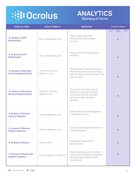| <b>OCROLUS TERM</b>                                                      | <b>JSON ATTRIBUTE</b>             | <b>DEFINITION</b>                                                                                                                    |             | Available for objects:                       |               |
|--------------------------------------------------------------------------|-----------------------------------|--------------------------------------------------------------------------------------------------------------------------------------|-------------|----------------------------------------------|---------------|
| <b>E</b> Number of ATM<br><b>Withdrawals</b>                             | atm_withdrawals_num               | Total number of all ATM<br>withdrawals from the bank<br>account                                                                      | <b>BOOK</b> | <b>BANK</b><br><b>ACCOUNT</b><br>$\mathbf x$ | <b>PERIOD</b> |
| <b>i¥ Amount of ATM</b><br><b>Withdrawals</b>                            | atm_withdrawals_sum               | The sum of all ATM withdrawal<br>amounts                                                                                             |             | $\mathbf x$                                  |               |
| <b>E</b> Number of Merchant<br><b>Service Deposits (Card)</b>            | merchant_service_<br>deposits_num | Total number of merchant service<br>deposits (positive txns matching<br>with merchant service terms) in the<br>bank account          |             | $\mathbf{x}$                                 |               |
| <b><sup>₩</sup> Amount of Merchant</b><br><b>Service Deposits (Card)</b> | merchant_service_<br>deposits_sum | The sum of merchant service<br>deposit txn amounts (positive<br>txns matching with merchant<br>service terms) in the bank<br>account |             | $\mathbf{x}$                                 |               |
| <b>i<sup>*</sup> Number of Remote</b><br><b>Capture Deposits</b>         | remote_deposits_num               | Total number of remote deposits<br>in the bank account                                                                               |             | $\mathbf x$                                  |               |
| <b>i<sup>*</sup> Amount of Remote</b><br><b>Capture Deposits</b>         | remote_deposits_sum               | Sum of remote deposit amounts in<br>the bank account                                                                                 |             | $\mathbf x$                                  |               |
| <b><i><u><b>¥</b></u></i></b> Number of Checks                           | checks_num                        | Number of checks in the<br>bank account                                                                                              |             | $\mathbf x$                                  |               |
| <b>E</b> Amount of Check with<br><b>Highest Incidence</b>                | checks_highest_incidence          | Most commonly occurring check<br>amount (of the highest incidence)<br>as well as the number of such<br>occurrences                   |             | $\mathbf{x}$                                 |               |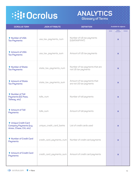| <b>OCROLUS TERM</b>                                                                | <b>JSON ATTRIBUTE</b>    | <b>DEFINITION</b>                                      |             | <b>Available for objects:</b> |               |
|------------------------------------------------------------------------------------|--------------------------|--------------------------------------------------------|-------------|-------------------------------|---------------|
|                                                                                    |                          |                                                        | <b>BOOK</b> | <b>BANK</b><br><b>ACCOUNT</b> | <b>PERIOD</b> |
| <b>E</b> Number of USA<br><b>Tax Payments</b>                                      | usa_tax_payments_num     | Number of US tax payments<br>(USATAXPYMT)              |             | $\mathbf x$                   |               |
| <b>i<sup>¥</sup> Amount of USA</b><br><b>Tax Payments</b>                          | usa_tax_payments_sum     | Amount of US tax payments                              |             | $\mathbf x$                   |               |
| <b><sup>☀</sup> Number of State</b><br><b>Tax Payments</b>                         | state_tax_payments_num   | Number of tax payments that are<br>not US tax payments |             | $\mathbf x$                   |               |
| <b>i<sup>★</sup> Amount of State</b><br><b>Tax Payments</b>                        | state_tax_payments_sum   | Amount of tax payments that<br>are not US tax payments |             | $\mathbf{x}$                  |               |
| <b>EXAMPLE PERITH</b><br><b>Payments (EZ Pass,</b><br>Tollway, etc)                | tolls_num                | Number of toll payments                                |             | $\mathbf x$                   |               |
| <b>EXAMOUNT OF Toll</b><br><b>Payments</b>                                         | tolls_sum                | Amount of toll payments                                |             | $\mathbf{x}$                  |               |
| Vie Unique Credit Card<br><b>Company Payments (e.g.</b><br>Amex, Chase, Citi, etc) | unique_credit_card_banks | List of credit cards used                              |             | $\mathbf x$                   |               |
| ☀ Number of Credit Card<br><b>Payments</b>                                         | credit_card_payments_num | Number of credit card payments                         |             | $\mathbf{x}$                  |               |
| <b>EXECUTE: Amount of Credit Card</b><br><b>Payments</b>                           | credit_card_payments_sum | Amount of credit card payments                         |             | $\mathbf{x}$                  |               |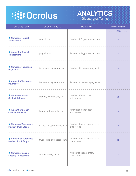| <b>OCROLUS TERM</b>                                                    | <b>JSON ATTRIBUTE</b>    | <b>DEFINITION</b>                          |             | Available for objects:        |               |
|------------------------------------------------------------------------|--------------------------|--------------------------------------------|-------------|-------------------------------|---------------|
|                                                                        |                          |                                            | <b>BOOK</b> | <b>BANK</b><br><b>ACCOUNT</b> | <b>PERIOD</b> |
| ☀ Number of Paypal<br><b>Transactions</b>                              | paypal_num               | Number of Paypal transactions              |             | $\mathbf x$                   |               |
| <b>☀ Amount of Paypal</b><br><b>Transactions</b>                       | paypal_sum               | Amount of Paypal transactions              |             | $\mathbf x$                   |               |
| <b><i><u><b>¥</b></u></i> Number of Insurance</b><br><b>Payments</b>   | insurance_payments_num   | Number of insurance payments               |             | $\mathbf x$                   |               |
| <b>i*</b> Amount of Insurance<br><b>Payments</b>                       | insurance_payments_sum   | Amount of insurance payments               |             | $\mathbf x$                   |               |
| <b>EXECUTE: Number of Branch</b><br><b>Cash Withdrawals</b>            | branch_withdrawals_num   | Number of branch cash<br>withdrawals       |             | $\mathbf x$                   |               |
| <b>i¥ Amount of Branch</b><br><b>Cash Withdrawals</b>                  | branch_withdrawals_sum   | Amount of branch cash<br>withdrawals       |             | $\mathbf x$                   |               |
| ☀ Number of Purchases<br><b>Made at Truck Stops</b>                    | truck_stop_purchases_num | Number of purchases made at<br>truck stops |             | $\mathbf x$                   |               |
| <b>i<sup>★</sup> Amount of Purchases</b><br><b>Made at Truck Stops</b> | truck_stop_purchases_sum | Amount of purchases made at<br>truck stops |             | $\mathbf x$                   |               |
| <b><sup>☀</sup> Number of Casino-</b><br><b>Lottery Transactions</b>   | casino_lottery_num       | Number of casino-lottery<br>transactions   |             | $\mathbf x$                   |               |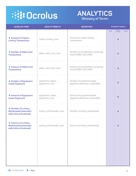| <b>OCROLUS TERM</b>                                                             | <b>JSON ATTRIBUTE</b>            | <b>DEFINITION</b>                                            | Available for objects: |                               |               |
|---------------------------------------------------------------------------------|----------------------------------|--------------------------------------------------------------|------------------------|-------------------------------|---------------|
|                                                                                 |                                  |                                                              | <b>BOOK</b>            | <b>BANK</b><br><b>ACCOUNT</b> | <b>PERIOD</b> |
| <b>*</b> Amount of Casino-<br><b>Lottery Transactions</b>                       | casino_lottery_sum               | Amount of casino-lottery<br>transactions                     |                        | $\mathbf{x}$                  |               |
| <b><i><u><b></b></u></i></b> Number of Debit Card<br><b>Transactions</b>        | debit_card_txns_num              | Number of transactions containing<br>words DEBIT and CARD    |                        | $\mathbf x$                   |               |
| <b><sup>₩</sup> Amount of Debit Card</b><br><b>Transactions</b>                 | debit_card_txns_sum              | Amount of transactions containing<br>words DEBIT and CARD    |                        | $\mathbf x$                   |               |
| ☀ Number of Equipment<br><b>Lease Payments</b>                                  | equipment_lease_<br>payments_num | Number of equipment lease<br>payments (Komatsu, Caterpillar) |                        | $\mathbf{x}$                  |               |
| <b>i<sup>¥</sup> Amount of Equipment</b><br><b>Lease Payments</b>               | equipment_lease_<br>payments_sum | Amount of equipment lease<br>payments (Komatsu, Caterpillar) |                        | $\mathbf x$                   |               |
| ☀ Number of Lottery<br><b>Withdrawals (merchant</b><br>sells lotto at business) | lottery_withdrawals_num          | Number of lottery withdrawals                                |                        | $\mathbf{x}$                  |               |
| ☀ Amount of Lottery<br><b>Withdrawals (merchant</b><br>sells lotto at business) | lottery_withdrawals_sum          | Amount of lottery withdrawals                                |                        | $\boldsymbol{\mathsf{X}}$     |               |
|                                                                                 |                                  |                                                              |                        |                               |               |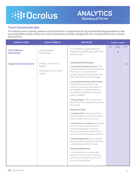### **ANALYTICS Glossary of Terms**

#### **Fraud & Questionable Data**

The following metrics identify instances of potential fraud or irregular behavior. By automatically flagging abberrant data and questionable activity, lenders can reduce fraud losses while also managing the risk of losing business due to excess false positives.

| <b>OCROLUS TERM</b>                        | <b>JSON ATTRIBUTE</b>                                              | <b>DEFINITION</b>                                                                                                                                                                                                                                                                                                                                                                                                                                                                                                                                                                                                                                                                                                                                                                                                                                                                                                                                                                                                                                                                                                                                                                                             | Available for objects: |                                              |               |
|--------------------------------------------|--------------------------------------------------------------------|---------------------------------------------------------------------------------------------------------------------------------------------------------------------------------------------------------------------------------------------------------------------------------------------------------------------------------------------------------------------------------------------------------------------------------------------------------------------------------------------------------------------------------------------------------------------------------------------------------------------------------------------------------------------------------------------------------------------------------------------------------------------------------------------------------------------------------------------------------------------------------------------------------------------------------------------------------------------------------------------------------------------------------------------------------------------------------------------------------------------------------------------------------------------------------------------------------------|------------------------|----------------------------------------------|---------------|
| <b>Period Balance</b><br><b>Mismatches</b> | period_balance_<br>mismatches                                      | An indication of gaps between<br>statement periods captured in the<br>bank account.                                                                                                                                                                                                                                                                                                                                                                                                                                                                                                                                                                                                                                                                                                                                                                                                                                                                                                                                                                                                                                                                                                                           | <b>BOOK</b>            | <b>BANK</b><br><b>ACCOUNT</b><br>$\mathbf x$ | <b>PERIOD</b> |
| <b>Suspicious Activity Alerts</b>          | primary_recon_error_<br>reason<br>secondary_recon_error_<br>reason | Incomplete Information:<br>• Incomplete Transaction Data: This<br>indicates that some of the transaction<br>information is not available, for<br>example, because the statement has<br>been redacted or quality is illegible.<br>· Incomplete Statement Period Data:<br>This indicates that part(s) of the<br>statement summary information is<br>not available, for example, because<br>the statement has been redacted or<br>quality is illegible.<br>. Missing Pages: This indicates that<br>pages within the uploaded statements<br>are missing.<br><b>Potential Fraud:</b><br>. Invalid Date(s): This indicates that<br>there are dates occurring in the past/<br>future or dates that do not exist.<br>• Invalid Amount or Balance: Examples<br>of this include instances where a<br>comma is misplaced, or there is a<br>discrepancy between the balances<br>and sum of the transactions amounts.<br>• Photoshopped Data: This indicates<br>photoshopped formatting or text that<br>is detectable by the human eye.<br><b>Unreconciled Period:</b><br>• This indicates that a reasonable<br>amount of time was spent trying to<br>rectify a reconciliation error, but the<br>error was not identified. |                        |                                              | X             |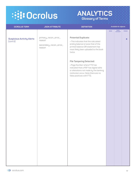| <b>OCROLUS TERM</b>                           | <b>JSON ATTRIBUTE</b>                                              | <b>DEFINITION</b>                                                                                                                                                                                                       | Available for objects: |                 |              |  |
|-----------------------------------------------|--------------------------------------------------------------------|-------------------------------------------------------------------------------------------------------------------------------------------------------------------------------------------------------------------------|------------------------|-----------------|--------------|--|
|                                               |                                                                    |                                                                                                                                                                                                                         | <b>BOOK</b>            | BANK<br>ACCOUNT | PERIOD       |  |
| <b>Suspicious Activity Alerts</b><br>(cont'd) | primary_recon_error_<br>reason<br>secondary_recon_error_<br>reason | <b>Potential Duplicate:</b><br>. This indicates that the calculated<br>ending balance is twice that of the<br>printed balance OR statement has<br>most likely been uploaded to the book<br>twice.                       |                        |                 | $\mathbf{x}$ |  |
|                                               |                                                                    | <b>File Tampering Detected:</b><br>• Page Number where FTD has<br>indicated that a PDF has digital edits<br>or alterations not made by the banking<br>institution occur. Note there are no<br>false positives with FTD. |                        |                 |              |  |
|                                               |                                                                    |                                                                                                                                                                                                                         |                        |                 |              |  |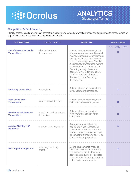#### **ANALYTICS Glossary of Terms**

#### **Competition & Debt Capacity**

Identify presence and prevalence of competitive activity. Understand potential advances and payments with other sources of capital to inform debt capacity and exposure calculations.

| <b>OCROLUS TERM</b>                                      | <b>JSON ATTRIBUTE</b>                 | <b>DEFINITION</b>                                                                                                                                                                                                                                                                                                                                                                                                    |             | Available for objects:                       |               |
|----------------------------------------------------------|---------------------------------------|----------------------------------------------------------------------------------------------------------------------------------------------------------------------------------------------------------------------------------------------------------------------------------------------------------------------------------------------------------------------------------------------------------------------|-------------|----------------------------------------------|---------------|
| <b>List of Alternative Lender</b><br><b>Transactions</b> | alternative_lender_<br>transactions   | A list of all transactions to/from<br>alternative lenders, including small<br>business lenders, personal lenders,<br>mortgage players, and others in<br>the online lending space. This list<br>also includes transactions relating<br>to Merchant Cash Advance and<br>Factoring, though these are<br>separately filtered in unique lists<br>for Merchant Cash Advance<br>Transactions and Factoring<br>Transactions. | <b>BOOK</b> | <b>BANK</b><br><b>ACCOUNT</b><br>$\mathbf x$ | <b>PERIOD</b> |
| <b>Factoring Transactions</b>                            | factor_txns                           | A list of all transactions to/from<br>invoice factoring companies.                                                                                                                                                                                                                                                                                                                                                   |             | $\mathbf x$                                  |               |
| <b>Debt Consolidator</b><br><b>Transactions</b>          | debt_consolidator_txns                | A list of all transactions to/from<br>debt consolidation companies.                                                                                                                                                                                                                                                                                                                                                  |             | $\mathbf x$                                  |               |
| <b>Merchant Cash Advance</b><br><b>Transactions</b>      | merchant_cash_advance_<br>lender_txns | A list of all transactions to/<br>from merchant cash advance<br>companies.                                                                                                                                                                                                                                                                                                                                           |             | $\mathbf x$                                  |               |
| <b>Average Monthly MCA</b><br><b>Payments</b>            | average_mca_payments                  | Average monthly debits (i.e.<br>payments) made to merchant<br>cash advance lenders. Provides<br>context into a customer's access<br>to competitive financing as well as<br>debt service requirements.                                                                                                                                                                                                                |             | $\mathbf x$                                  |               |
| <b>MCA Payments by Month</b>                             | mca_payments_by_<br>month             | Debits (i.e. payments) made to<br>merchant cash advance lenders,<br>broken out by month. Provides<br>context into a customer's access<br>to competitive financing as well as<br>debt service requirements.                                                                                                                                                                                                           |             | $\mathbf{x}$                                 |               |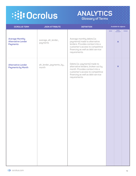| <b>OCROLUS TERM</b>                                                    | <b>JSON ATTRIBUTE</b>            | <b>DEFINITION</b>                                                                                                                                                                                | Available for objects: |                                              |               |
|------------------------------------------------------------------------|----------------------------------|--------------------------------------------------------------------------------------------------------------------------------------------------------------------------------------------------|------------------------|----------------------------------------------|---------------|
| <b>Average Monthly</b><br><b>Alternative Lender</b><br><b>Payments</b> | average_alt_lender_<br>payments  | Average monthly debits (i.e.<br>payments) made to alternative<br>lenders. Provides context into a<br>customer's access to competitive<br>financing as well as debt service<br>requirements.      | <b>BOOK</b>            | <b>BANK</b><br><b>ACCOUNT</b><br>$\mathbf x$ | <b>PERIOD</b> |
| <b>Alternative Lender</b><br><b>Payments by Month</b>                  | alt_lender_payments_by_<br>month | Debits (i.e. payments) made to<br>alternative lenders, broken out by<br>month. Provides context into a<br>customer's access to competitive<br>financing as well as debt service<br>requirements. |                        | $\mathbf x$                                  |               |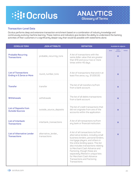#### **Transaction-Level Data**

Ocrolus performs deep and extensive transaction enrichment based on a combination of industry knowledge and continuously evolving machine learning. These metrics and indicators give lenders the ability to understand the banking activities of their customers in a significantly deeper way than would be possible with statements alone.

**ANALYTICS**

**Glossary of Terms**

| <b>OCROLUS TERM</b>                                             | <b>JSON ATTRIBUTE</b>               | <b>DEFINITION</b>                                                                                                                                                                                                                                                                                                                                                                                                    | Available for objects:                                      |               |
|-----------------------------------------------------------------|-------------------------------------|----------------------------------------------------------------------------------------------------------------------------------------------------------------------------------------------------------------------------------------------------------------------------------------------------------------------------------------------------------------------------------------------------------------------|-------------------------------------------------------------|---------------|
| <b>Probable Recurring</b><br><b>Transactions</b>                | probable_recurring_txns             | A list of transactions with the<br>same dollar value that are greater<br>than \$10 and occur two or more<br>times within 45 days.                                                                                                                                                                                                                                                                                    | <b>BANK</b><br><b>BOOK</b><br><b>ACCOUNT</b><br>$\mathbf x$ | <b>PERIOD</b> |
| <b>List of Transactions</b><br><b>Ending in 5 Zeros or More</b> | round_number_txns                   | A list of transactions that end in at<br>least five zeros, e.g., \$1,000.00.                                                                                                                                                                                                                                                                                                                                         | $\mathbf x$                                                 |               |
| <b>Transfer</b>                                                 | transfer                            | The list of all transfers to/from<br>from a bank account.                                                                                                                                                                                                                                                                                                                                                            | $\mathbf x$                                                 |               |
| <b>Withdrawals</b>                                              | withdrawals                         | The list of all debits transactions<br>from a bank account.                                                                                                                                                                                                                                                                                                                                                          | $\mathbf x$                                                 |               |
| <b>List of Deposits from</b><br><b>Outside Sources</b>          | outside_source_deposits             | The list of credit transactions that<br>did not originate from one of the<br>accounts within the application.                                                                                                                                                                                                                                                                                                        | $\mathbf x$                                                 |               |
| <b>List of Interbank</b><br><b>Transactions</b>                 | interbank_transactions              | A list of all transactions to/from<br>any bank or financial institution.                                                                                                                                                                                                                                                                                                                                             | $\mathbf x$                                                 |               |
| <b>List of Alternative Lender</b><br><b>Transactions</b>        | alternative_lender_<br>transactions | A list of all transactions to/from<br>alternative lenders, including small<br>business lenders, personal lenders,<br>mortgage players, and others in<br>the online lending space. This list<br>also includes transactions relating<br>to Merchant Cash Advance and<br>Factoring, though these are<br>separately filtered in unique lists<br>for Merchant Cash Advance<br>Transactions and Factoring<br>Transactions. | $\mathbf x$                                                 |               |